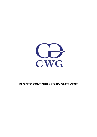

## **BUSINESS CONTINUITY POLICY STATEMENT**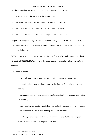## **BUSINESS CONTINUITY POLICY STATEMENT**

CWG has established an overall policy regarding business continuity that:

- is appropriate to the purpose of the organization;
- provides a framework for setting business continuity objectives;
- includes a commitment to satisfying applicable requirements;
- includes a commitment to continuous improvement of the BCMS.

The purpose of implementing a Business Continuity Management System is to prepare for, provide and maintain controls and capabilities for managing CWG's overall ability to continue to operate during disruptions.

CWG recognizes the importance of implementing an effective BCMS and acknowledges that it will use the ISO 22301:2019 standard as the guidance and structure for its business continuity activities.

CWG is committed to:

- comply with applicable legal, regulatory and contractual obligations
- implement, maintain and continually improve the Business Continuity Management System;
- ensure appropriate resources needed for the Business Continuity Management System are available;
- ensure that all employees involved in business continuity management are competent based on appropriate education, training, skills and experience.
- conduct a systematic review of the performance of the BCMS on a regular basis to ensure business continuity objectives are met.